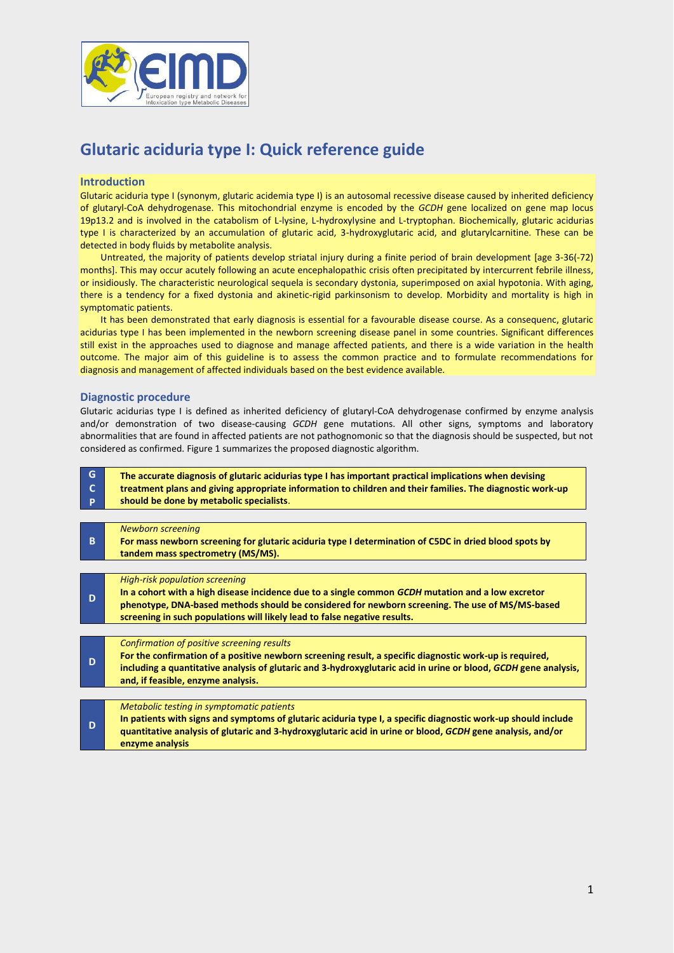

# **Glutaric aciduria type I: Quick reference guide**

#### **Introduction**

Glutaric aciduria type I (synonym, glutaric acidemia type I) is an autosomal recessive disease caused by inherited deficiency of glutaryl-CoA dehydrogenase. This mitochondrial enzyme is encoded by the *GCDH* gene localized on gene map locus 19p13.2 and is involved in the catabolism of L-lysine, L-hydroxylysine and L-tryptophan. Biochemically, glutaric acidurias type I is characterized by an accumulation of glutaric acid, 3-hydroxyglutaric acid, and glutarylcarnitine. These can be detected in body fluids by metabolite analysis.

Untreated, the majority of patients develop striatal injury during a finite period of brain development [age 3-36(-72) months]. This may occur acutely following an acute encephalopathic crisis often precipitated by intercurrent febrile illness, or insidiously. The characteristic neurological sequela is secondary dystonia, superimposed on axial hypotonia. With aging, there is a tendency for a fixed dystonia and akinetic-rigid parkinsonism to develop. Morbidity and mortality is high in symptomatic patients.

It has been demonstrated that early diagnosis is essential for a favourable disease course. As a consequenc, glutaric acidurias type I has been implemented in the newborn screening disease panel in some countries. Significant differences still exist in the approaches used to diagnose and manage affected patients, and there is a wide variation in the health outcome. The major aim of this guideline is to assess the common practice and to formulate recommendations for diagnosis and management of affected individuals based on the best evidence available.

#### **Diagnostic procedure**

Glutaric acidurias type I is defined as inherited deficiency of glutaryl-CoA dehydrogenase confirmed by enzyme analysis and/or demonstration of two disease-causing *GCDH* gene mutations. All other signs, symptoms and laboratory abnormalities that are found in affected patients are not pathognomonic so that the diagnosis should be suspected, but not considered as confirmed. Figure 1 summarizes the proposed diagnostic algorithm.

| G<br>C.<br><b>P</b> | The accurate diagnosis of glutaric acidurias type I has important practical implications when devising<br>treatment plans and giving appropriate information to children and their families. The diagnostic work-up<br>should be done by metabolic specialists.                                                            |
|---------------------|----------------------------------------------------------------------------------------------------------------------------------------------------------------------------------------------------------------------------------------------------------------------------------------------------------------------------|
|                     |                                                                                                                                                                                                                                                                                                                            |
| B.                  | <b>Newborn screening</b><br>For mass newborn screening for glutaric aciduria type I determination of C5DC in dried blood spots by<br>tandem mass spectrometry (MS/MS).                                                                                                                                                     |
|                     |                                                                                                                                                                                                                                                                                                                            |
| D                   | <b>High-risk population screening</b><br>In a cohort with a high disease incidence due to a single common GCDH mutation and a low excretor<br>phenotype, DNA-based methods should be considered for newborn screening. The use of MS/MS-based<br>screening in such populations will likely lead to false negative results. |
|                     |                                                                                                                                                                                                                                                                                                                            |
| D                   | Confirmation of positive screening results<br>For the confirmation of a positive newborn screening result, a specific diagnostic work-up is required,<br>including a quantitative analysis of glutaric and 3-hydroxyglutaric acid in urine or blood, GCDH gene analysis,<br>and, if feasible, enzyme analysis.             |
|                     |                                                                                                                                                                                                                                                                                                                            |
| D                   | Metabolic testing in symptomatic patients<br>In patients with signs and symptoms of glutaric aciduria type I, a specific diagnostic work-up should include<br>quantitative analysis of glutaric and 3-hydroxyglutaric acid in urine or blood, GCDH gene analysis, and/or<br>enzyme analysis                                |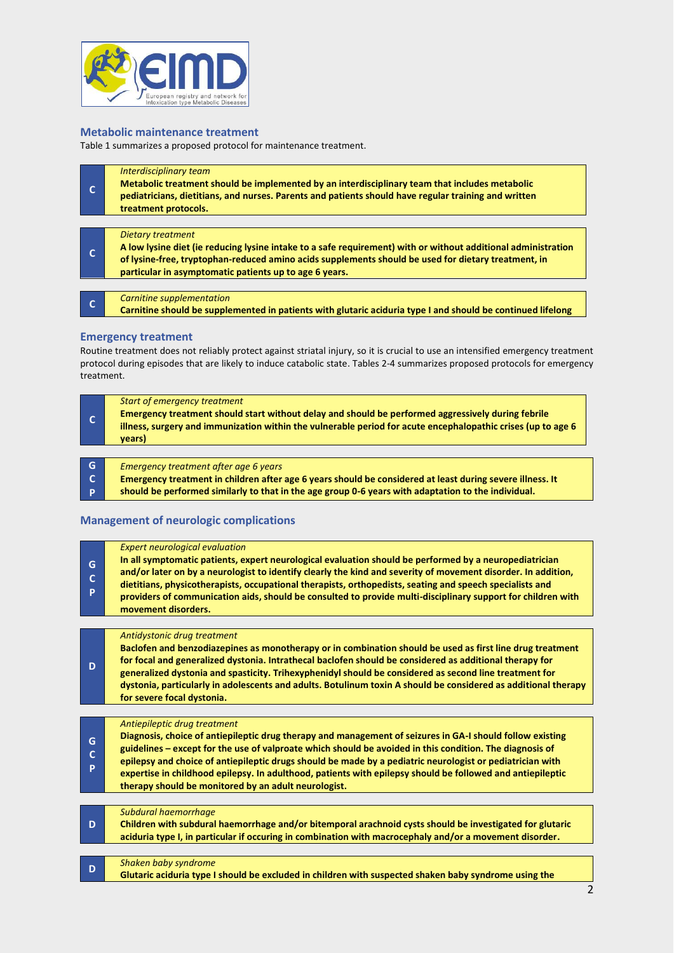

#### **Metabolic maintenance treatment**

Table 1 summarizes a proposed protocol for maintenance treatment.

| $\mathsf{C}$ | Interdisciplinary team<br>Metabolic treatment should be implemented by an interdisciplinary team that includes metabolic<br>pediatricians, dietitians, and nurses. Parents and patients should have regular training and written<br>treatment protocols.                                                   |
|--------------|------------------------------------------------------------------------------------------------------------------------------------------------------------------------------------------------------------------------------------------------------------------------------------------------------------|
| $\mathbf{C}$ | <b>Dietary treatment</b><br>A low lysine diet (ie reducing lysine intake to a safe requirement) with or without additional administration<br>of lysine-free, tryptophan-reduced amino acids supplements should be used for dietary treatment, in<br>particular in asymptomatic patients up to age 6 years. |
| $\mathbf{C}$ | Carnitine supplementation<br>Carnitine should be supplemented in patients with glutaric aciduria type I and should be continued lifelong                                                                                                                                                                   |

#### **Emergency treatment**

Routine treatment does not reliably protect against striatal injury, so it is crucial to use an intensified emergency treatment protocol during episodes that are likely to induce catabolic state. Tables 2-4 summarizes proposed protocols for emergency treatment.

| Start of emergency treatment<br>Emergency treatment should start without delay and should be performed aggressively during febrile<br>illness, surgery and immunization within the vulnerable period for acute encephalopathic crises (up to age 6<br>vears) |
|--------------------------------------------------------------------------------------------------------------------------------------------------------------------------------------------------------------------------------------------------------------|
|                                                                                                                                                                                                                                                              |

| G | Emergency treatment after age 6 years                                                                     |
|---|-----------------------------------------------------------------------------------------------------------|
|   | Emergency treatment in children after age 6 years should be considered at least during severe illness. It |
|   | should be performed similarly to that in the age group 0-6 years with adaptation to the individual.       |

#### **Management of neurologic complications**

| G<br>c<br>P | <b>Expert neurological evaluation</b><br>In all symptomatic patients, expert neurological evaluation should be performed by a neuropediatrician<br>and/or later on by a neurologist to identify clearly the kind and severity of movement disorder. In addition,<br>dietitians, physicotherapists, occupational therapists, orthopedists, seating and speech specialists and<br>providers of communication aids, should be consulted to provide multi-disciplinary support for children with<br>movement disorders.                      |
|-------------|------------------------------------------------------------------------------------------------------------------------------------------------------------------------------------------------------------------------------------------------------------------------------------------------------------------------------------------------------------------------------------------------------------------------------------------------------------------------------------------------------------------------------------------|
|             |                                                                                                                                                                                                                                                                                                                                                                                                                                                                                                                                          |
| D           | Antidystonic drug treatment<br>Baclofen and benzodiazepines as monotherapy or in combination should be used as first line drug treatment<br>for focal and generalized dystonia. Intrathecal baclofen should be considered as additional therapy for<br>generalized dystonia and spasticity. Trihexyphenidyl should be considered as second line treatment for<br>dystonia, particularly in adolescents and adults. Botulinum toxin A should be considered as additional therapy<br>for severe focal dystonia.                            |
|             |                                                                                                                                                                                                                                                                                                                                                                                                                                                                                                                                          |
| G<br>c<br>P | Antiepileptic drug treatment<br>Diagnosis, choice of antiepileptic drug therapy and management of seizures in GA-I should follow existing<br>guidelines - except for the use of valproate which should be avoided in this condition. The diagnosis of<br>epilepsy and choice of antiepileptic drugs should be made by a pediatric neurologist or pediatrician with<br>expertise in childhood epilepsy. In adulthood, patients with epilepsy should be followed and antiepileptic<br>therapy should be monitored by an adult neurologist. |
|             |                                                                                                                                                                                                                                                                                                                                                                                                                                                                                                                                          |
| D           | Subdural haemorrhage<br>Children with subdural haemorrhage and/or bitemporal arachnoid cysts should be investigated for glutaric<br>aciduria type I, in particular if occuring in combination with macrocephaly and/or a movement disorder.                                                                                                                                                                                                                                                                                              |
|             |                                                                                                                                                                                                                                                                                                                                                                                                                                                                                                                                          |
| D           | Shaken baby syndrome<br>Glutaric aciduria type I should be excluded in children with suspected shaken baby syndrome using the                                                                                                                                                                                                                                                                                                                                                                                                            |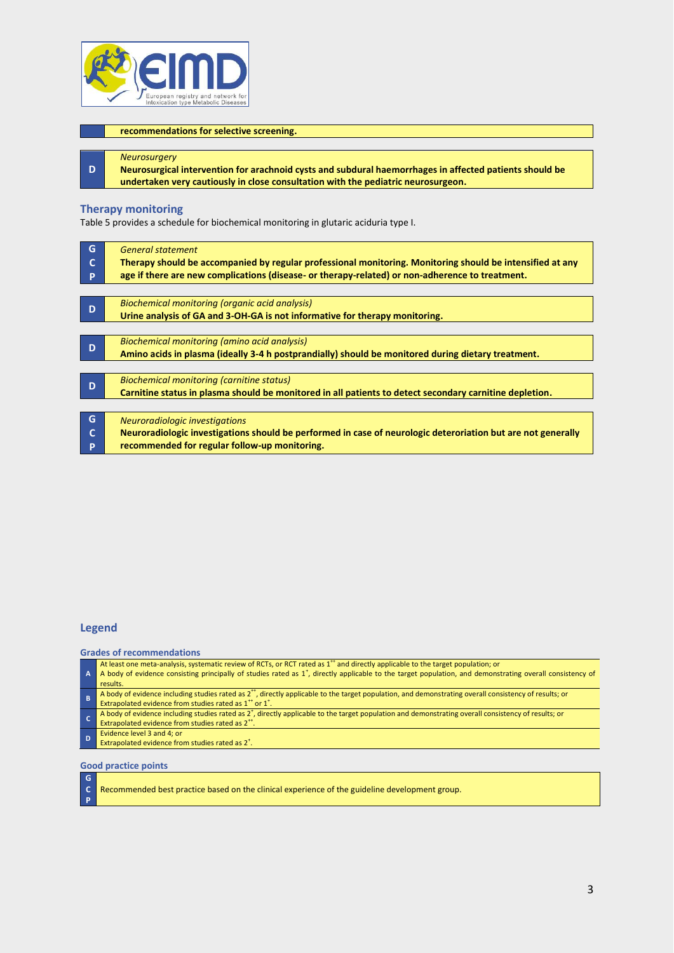

#### **recommendations for selective screening.**

#### *Neurosurgery*

**Neurosurgical intervention for arachnoid cysts and subdural haemorrhages in affected patients should be undertaken very cautiously in close consultation with the pediatric neurosurgeon.**

#### **Therapy monitoring**

**D**

Table 5 provides a schedule for biochemical monitoring in glutaric aciduria type I.

| G | <b>General statement</b>                                                                                     |  |  |  |  |  |  |
|---|--------------------------------------------------------------------------------------------------------------|--|--|--|--|--|--|
|   | Therapy should be accompanied by regular professional monitoring. Monitoring should be intensified at any    |  |  |  |  |  |  |
| P | age if there are new complications (disease- or therapy-related) or non-adherence to treatment.              |  |  |  |  |  |  |
|   |                                                                                                              |  |  |  |  |  |  |
| D | Biochemical monitoring (organic acid analysis)                                                               |  |  |  |  |  |  |
|   | Urine analysis of GA and 3-OH-GA is not informative for therapy monitoring.                                  |  |  |  |  |  |  |
|   |                                                                                                              |  |  |  |  |  |  |
| D | Biochemical monitoring (amino acid analysis)                                                                 |  |  |  |  |  |  |
|   | Amino acids in plasma (ideally 3-4 h postprandially) should be monitored during dietary treatment.           |  |  |  |  |  |  |
|   |                                                                                                              |  |  |  |  |  |  |
| D | Biochemical monitoring (carnitine status)                                                                    |  |  |  |  |  |  |
|   | Carnitine status in plasma should be monitored in all patients to detect secondary carnitine depletion.      |  |  |  |  |  |  |
|   |                                                                                                              |  |  |  |  |  |  |
| G | Neuroradiologic investigations                                                                               |  |  |  |  |  |  |
| C | Neuroradiologic investigations should be performed in case of neurologic deteroriation but are not generally |  |  |  |  |  |  |
| P | recommended for regular follow-up monitoring.                                                                |  |  |  |  |  |  |
|   |                                                                                                              |  |  |  |  |  |  |

#### **Legend**

**Grades of recommendations**

| A I | At least one meta-analysis, systematic review of RCTs, or RCT rated as 1 <sup>++</sup> and directly applicable to the target population; or<br>A body of evidence consisting principally of studies rated as $1^*$ , directly applicable to the target population, and demonstrating overall consistency of<br>results. |
|-----|-------------------------------------------------------------------------------------------------------------------------------------------------------------------------------------------------------------------------------------------------------------------------------------------------------------------------|
|     | A body of evidence including studies rated as $2^{++}$ , directly applicable to the target population, and demonstrating overall consistency of results; or<br>Extrapolated evidence from studies rated as 1 <sup>++</sup> or 1 <sup>++</sup>                                                                           |
|     | A body of evidence including studies rated as 2 <sup>+</sup> , directly applicable to the target population and demonstrating overall consistency of results; or<br>Extrapolated evidence from studies rated as 2 <sup>++</sup> .                                                                                       |

- Evidence level 3 and 4; or
- Extrapolated evidence from studies rated as  $2^+$ .

**Good practice points**

**G C P**

| Recommended best practice based on the clinical experience of the guideline development group. |  |  |
|------------------------------------------------------------------------------------------------|--|--|
|                                                                                                |  |  |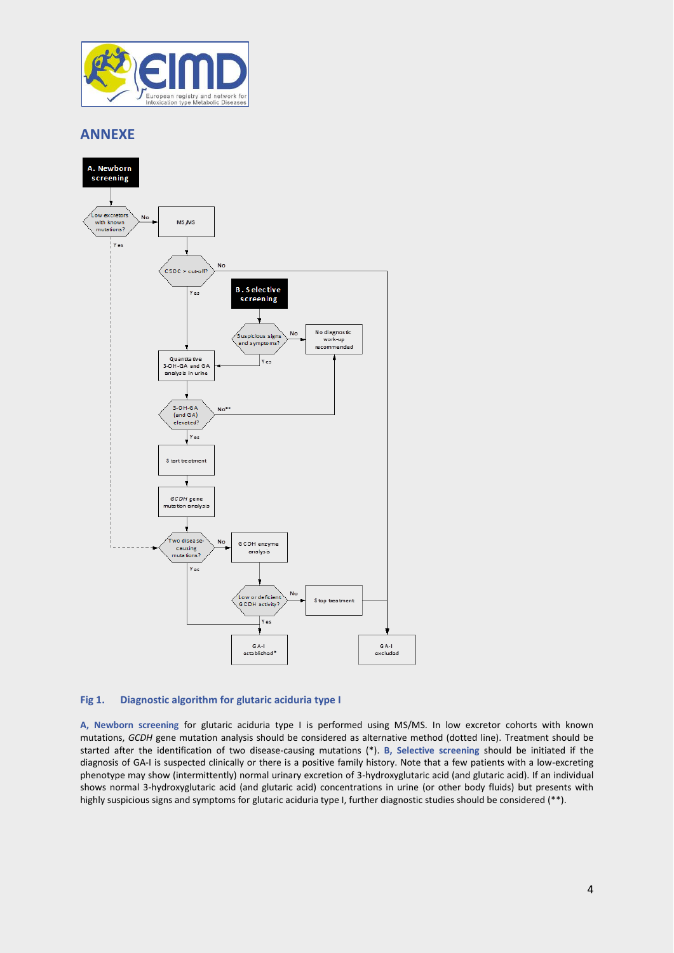

# **ANNEXE**



## **Fig 1. Diagnostic algorithm for glutaric aciduria type I**

**A, Newborn screening** for glutaric aciduria type I is performed using MS/MS. In low excretor cohorts with known mutations, *GCDH* gene mutation analysis should be considered as alternative method (dotted line). Treatment should be started after the identification of two disease-causing mutations (\*). **B, Selective screening** should be initiated if the diagnosis of GA-I is suspected clinically or there is a positive family history. Note that a few patients with a low-excreting phenotype may show (intermittently) normal urinary excretion of 3-hydroxyglutaric acid (and glutaric acid). If an individual shows normal 3-hydroxyglutaric acid (and glutaric acid) concentrations in urine (or other body fluids) but presents with highly suspicious signs and symptoms for glutaric aciduria type I, further diagnostic studies should be considered (\*\*).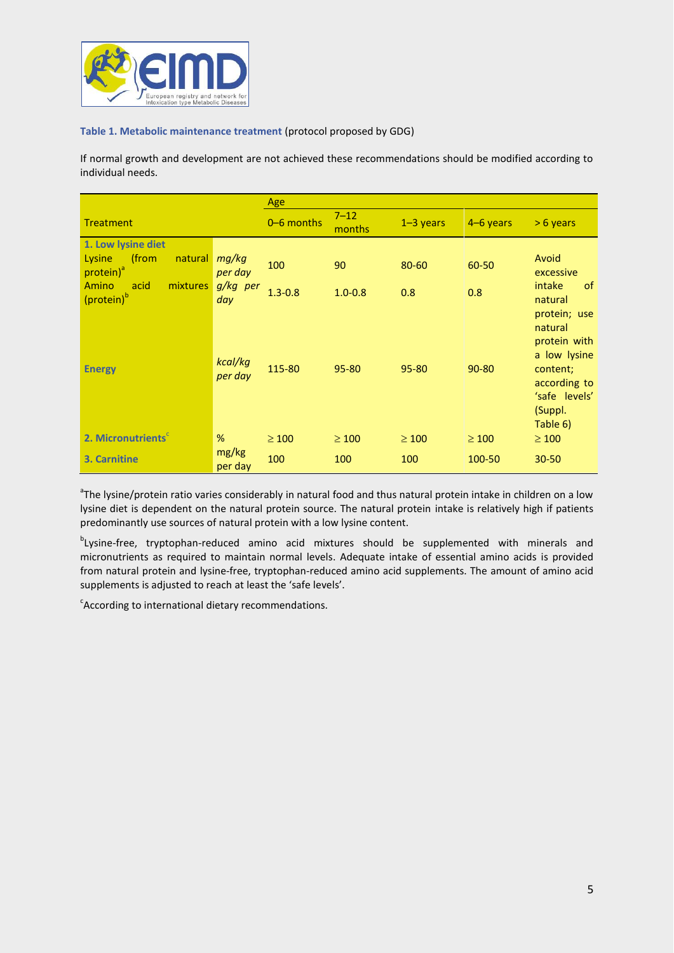

#### **Table 1. Metabolic maintenance treatment** (protocol proposed by GDG)

If normal growth and development are not achieved these recommendations should be modified according to individual needs.

|                                                                           |                            | Age                |             |             |             |                                                                                               |
|---------------------------------------------------------------------------|----------------------------|--------------------|-------------|-------------|-------------|-----------------------------------------------------------------------------------------------|
| <b>Treatment</b>                                                          | 0-6 months                 | $7 - 12$<br>months | $1-3$ years | $4-6$ years | $> 6$ years |                                                                                               |
| 1. Low lysine diet<br>(from<br>Lysine<br>natural<br>protein) <sup>ª</sup> | mg/kg<br>per day           | 100                | 90          | 80-60       | 60-50       | Avoid<br>excessive                                                                            |
| Amino<br>mixtures<br>acid<br>(protein) <sup>b</sup>                       | g/kg per<br>day<br>kcal/kg | $1.3 - 0.8$        | $1.0 - 0.8$ | 0.8         | 0.8         | intake<br><sub>of</sub><br>natural<br>protein; use<br>natural<br>protein with<br>a low lysine |
| <b>Energy</b>                                                             | per day                    | 115-80             | 95-80       | 95-80       | $90 - 80$   | content;<br>according to<br>'safe levels'<br>(Suppl.<br>Table 6)                              |
| 2. Micronutrients                                                         | %                          | $\geq 100$         | $\geq 100$  | $\geq 100$  | $\geq 100$  | $\geq 100$                                                                                    |
| 3. Carnitine                                                              | mg/kg<br>per day           | 100                | 100         | 100         | 100-50      | $30 - 50$                                                                                     |

<sup>a</sup>The lysine/protein ratio varies considerably in natural food and thus natural protein intake in children on a low lysine diet is dependent on the natural protein source. The natural protein intake is relatively high if patients predominantly use sources of natural protein with a low lysine content.

<sup>b</sup>Lysine-free, tryptophan-reduced amino acid mixtures should be supplemented with minerals and micronutrients as required to maintain normal levels. Adequate intake of essential amino acids is provided from natural protein and lysine-free, tryptophan-reduced amino acid supplements. The amount of amino acid supplements is adjusted to reach at least the 'safe levels'.

 $\epsilon$ According to international dietary recommendations.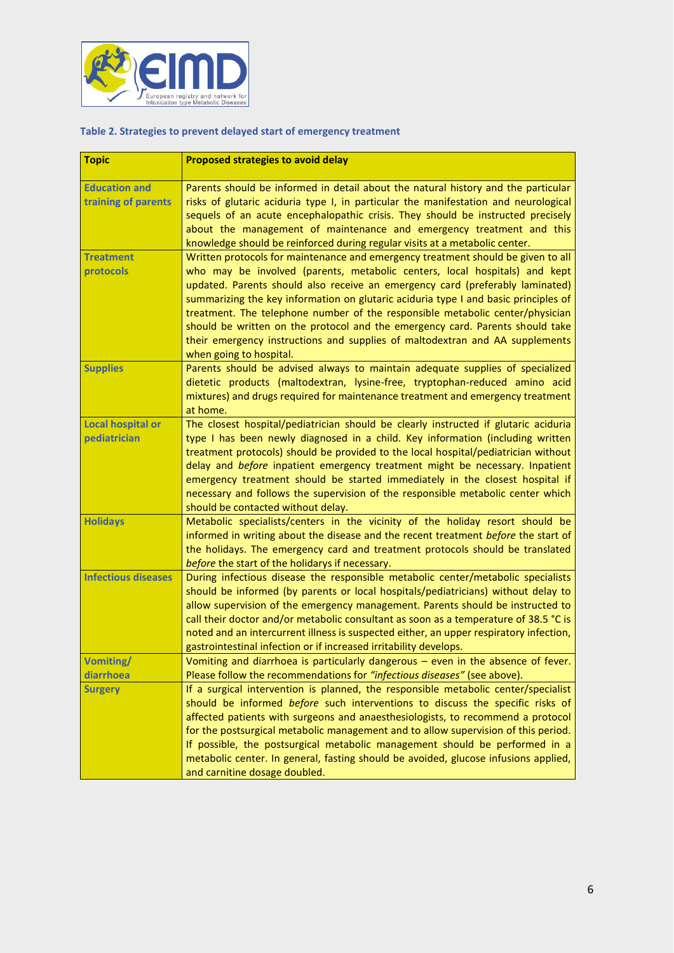

#### **Table 2. Strategies to prevent delayed start of emergency treatment**

| <b>Topic</b>               | <b>Proposed strategies to avoid delay</b>                                                                                                                         |  |  |  |  |
|----------------------------|-------------------------------------------------------------------------------------------------------------------------------------------------------------------|--|--|--|--|
| <b>Education and</b>       | Parents should be informed in detail about the natural history and the particular                                                                                 |  |  |  |  |
| training of parents        | risks of glutaric aciduria type I, in particular the manifestation and neurological                                                                               |  |  |  |  |
|                            | sequels of an acute encephalopathic crisis. They should be instructed precisely                                                                                   |  |  |  |  |
|                            | about the management of maintenance and emergency treatment and this                                                                                              |  |  |  |  |
|                            | knowledge should be reinforced during regular visits at a metabolic center.                                                                                       |  |  |  |  |
| <b>Treatment</b>           | Written protocols for maintenance and emergency treatment should be given to all                                                                                  |  |  |  |  |
| protocols                  | who may be involved (parents, metabolic centers, local hospitals) and kept                                                                                        |  |  |  |  |
|                            | updated. Parents should also receive an emergency card (preferably laminated)                                                                                     |  |  |  |  |
|                            | summarizing the key information on glutaric aciduria type I and basic principles of                                                                               |  |  |  |  |
|                            | treatment. The telephone number of the responsible metabolic center/physician                                                                                     |  |  |  |  |
|                            | should be written on the protocol and the emergency card. Parents should take                                                                                     |  |  |  |  |
|                            | their emergency instructions and supplies of maltodextran and AA supplements                                                                                      |  |  |  |  |
|                            | when going to hospital.                                                                                                                                           |  |  |  |  |
| <b>Supplies</b>            | Parents should be advised always to maintain adequate supplies of specialized<br>dietetic products (maltodextran, lysine-free, tryptophan-reduced amino acid      |  |  |  |  |
|                            | mixtures) and drugs required for maintenance treatment and emergency treatment                                                                                    |  |  |  |  |
|                            | at home.                                                                                                                                                          |  |  |  |  |
| <b>Local hospital or</b>   | The closest hospital/pediatrician should be clearly instructed if glutaric aciduria                                                                               |  |  |  |  |
| pediatrician               | type I has been newly diagnosed in a child. Key information (including written                                                                                    |  |  |  |  |
|                            | treatment protocols) should be provided to the local hospital/pediatrician without                                                                                |  |  |  |  |
|                            | delay and before inpatient emergency treatment might be necessary. Inpatient                                                                                      |  |  |  |  |
|                            | emergency treatment should be started immediately in the closest hospital if                                                                                      |  |  |  |  |
|                            | necessary and follows the supervision of the responsible metabolic center which                                                                                   |  |  |  |  |
|                            | should be contacted without delay.                                                                                                                                |  |  |  |  |
| <b>Holidays</b>            | Metabolic specialists/centers in the vicinity of the holiday resort should be                                                                                     |  |  |  |  |
|                            | informed in writing about the disease and the recent treatment before the start of                                                                                |  |  |  |  |
|                            | the holidays. The emergency card and treatment protocols should be translated<br>before the start of the holidarys if necessary.                                  |  |  |  |  |
| <b>Infectious diseases</b> | During infectious disease the responsible metabolic center/metabolic specialists                                                                                  |  |  |  |  |
|                            | should be informed (by parents or local hospitals/pediatricians) without delay to                                                                                 |  |  |  |  |
|                            | allow supervision of the emergency management. Parents should be instructed to                                                                                    |  |  |  |  |
|                            | call their doctor and/or metabolic consultant as soon as a temperature of 38.5 °C is                                                                              |  |  |  |  |
|                            | noted and an intercurrent illness is suspected either, an upper respiratory infection,                                                                            |  |  |  |  |
|                            | gastrointestinal infection or if increased irritability develops.                                                                                                 |  |  |  |  |
| <b>Vomiting/</b>           | Vomiting and diarrhoea is particularly dangerous $-$ even in the absence of fever.                                                                                |  |  |  |  |
| diarrhoea                  | Please follow the recommendations for "infectious diseases" (see above).                                                                                          |  |  |  |  |
| <b>Surgery</b>             | If a surgical intervention is planned, the responsible metabolic center/specialist                                                                                |  |  |  |  |
|                            | should be informed before such interventions to discuss the specific risks of                                                                                     |  |  |  |  |
|                            | affected patients with surgeons and anaesthesiologists, to recommend a protocol                                                                                   |  |  |  |  |
|                            | for the postsurgical metabolic management and to allow supervision of this period.<br>If possible, the postsurgical metabolic management should be performed in a |  |  |  |  |
|                            | metabolic center. In general, fasting should be avoided, glucose infusions applied,                                                                               |  |  |  |  |
|                            | and carnitine dosage doubled.                                                                                                                                     |  |  |  |  |
|                            |                                                                                                                                                                   |  |  |  |  |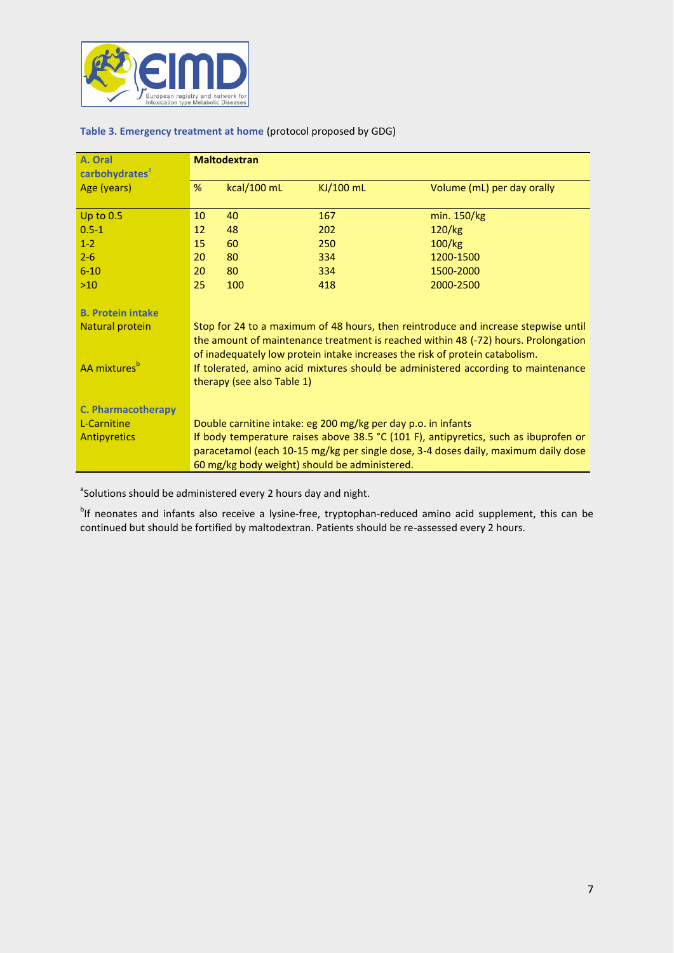

| A. Oral                    | <b>Maltodextran</b>                                                                                                                                                                                                                                      |             |           |                            |  |
|----------------------------|----------------------------------------------------------------------------------------------------------------------------------------------------------------------------------------------------------------------------------------------------------|-------------|-----------|----------------------------|--|
| carbohydrates <sup>a</sup> |                                                                                                                                                                                                                                                          |             |           |                            |  |
| Age (years)                | %                                                                                                                                                                                                                                                        | kcal/100 mL | KJ/100 mL | Volume (mL) per day orally |  |
|                            |                                                                                                                                                                                                                                                          |             |           |                            |  |
| Up to $0.5$                | 10                                                                                                                                                                                                                                                       | 40          | 167       | min. 150/kg                |  |
| $0.5 - 1$                  | 12                                                                                                                                                                                                                                                       | 48          | 202       | 120/kg                     |  |
| $1 - 2$                    | 15                                                                                                                                                                                                                                                       | 60          | 250       | 100/kg                     |  |
| $2 - 6$                    | 20                                                                                                                                                                                                                                                       | 80          | 334       | 1200-1500                  |  |
| $6 - 10$                   | 20                                                                                                                                                                                                                                                       | 80          | 334       | 1500-2000                  |  |
| $>10$                      | 25                                                                                                                                                                                                                                                       | 100         | 418       | 2000-2500                  |  |
| <b>B. Protein intake</b>   |                                                                                                                                                                                                                                                          |             |           |                            |  |
| Natural protein            | Stop for 24 to a maximum of 48 hours, then reintroduce and increase stepwise until<br>the amount of maintenance treatment is reached within 48 (-72) hours. Prolongation<br>of inadequately low protein intake increases the risk of protein catabolism. |             |           |                            |  |
| AA mixtures <sup>b</sup>   | If tolerated, amino acid mixtures should be administered according to maintenance<br>therapy (see also Table 1)                                                                                                                                          |             |           |                            |  |
| <b>C. Pharmacotherapy</b>  |                                                                                                                                                                                                                                                          |             |           |                            |  |
| L-Carnitine                | Double carnitine intake: eg 200 mg/kg per day p.o. in infants                                                                                                                                                                                            |             |           |                            |  |
| <b>Antipyretics</b>        | If body temperature raises above 38.5 °C (101 F), antipyretics, such as ibuprofen or                                                                                                                                                                     |             |           |                            |  |
|                            | paracetamol (each 10-15 mg/kg per single dose, 3-4 doses daily, maximum daily dose                                                                                                                                                                       |             |           |                            |  |
|                            | 60 mg/kg body weight) should be administered.                                                                                                                                                                                                            |             |           |                            |  |

<sup>a</sup>Solutions should be administered every 2 hours day and night.

<sup>b</sup>lf neonates and infants also receive a lysine-free, tryptophan-reduced amino acid supplement, this can be continued but should be fortified by maltodextran. Patients should be re-assessed every 2 hours.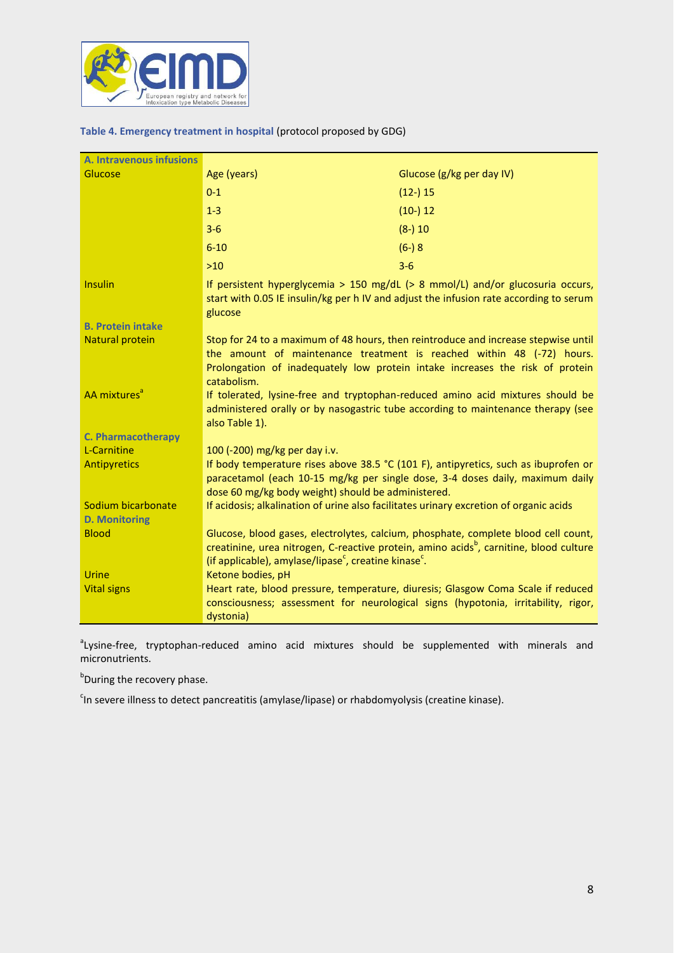

### **Table 4. Emergency treatment in hospital** (protocol proposed by GDG)

| A. Intravenous infusions                   |                                                                                                                                                                                                                                                             |                                                                                                                                                                                          |  |
|--------------------------------------------|-------------------------------------------------------------------------------------------------------------------------------------------------------------------------------------------------------------------------------------------------------------|------------------------------------------------------------------------------------------------------------------------------------------------------------------------------------------|--|
| Glucose                                    | Age (years)                                                                                                                                                                                                                                                 | Glucose (g/kg per day IV)                                                                                                                                                                |  |
|                                            | $0 - 1$                                                                                                                                                                                                                                                     | $(12-)15$                                                                                                                                                                                |  |
|                                            | $1 - 3$                                                                                                                                                                                                                                                     | $(10-) 12$                                                                                                                                                                               |  |
|                                            | $3 - 6$                                                                                                                                                                                                                                                     | $(8-) 10$                                                                                                                                                                                |  |
|                                            | $6 - 10$                                                                                                                                                                                                                                                    | $(6-) 8$                                                                                                                                                                                 |  |
|                                            | $>10$                                                                                                                                                                                                                                                       | $3 - 6$                                                                                                                                                                                  |  |
| <b>Insulin</b>                             | If persistent hyperglycemia > 150 mg/dL $(> 8 \text{ mmol/L})$ and/or glucosuria occurs,<br>start with 0.05 IE insulin/kg per h IV and adjust the infusion rate according to serum<br>glucose                                                               |                                                                                                                                                                                          |  |
| <b>B. Protein intake</b>                   |                                                                                                                                                                                                                                                             |                                                                                                                                                                                          |  |
| <b>Natural protein</b>                     | Stop for 24 to a maximum of 48 hours, then reintroduce and increase stepwise until<br>the amount of maintenance treatment is reached within 48 (-72) hours.<br>Prolongation of inadequately low protein intake increases the risk of protein<br>catabolism. |                                                                                                                                                                                          |  |
| AA mixtures <sup>a</sup>                   | If tolerated, lysine-free and tryptophan-reduced amino acid mixtures should be<br>administered orally or by nasogastric tube according to maintenance therapy (see<br>also Table 1).                                                                        |                                                                                                                                                                                          |  |
| <b>C. Pharmacotherapy</b>                  |                                                                                                                                                                                                                                                             |                                                                                                                                                                                          |  |
| L-Carnitine                                | 100 (-200) mg/kg per day i.v.                                                                                                                                                                                                                               |                                                                                                                                                                                          |  |
| Antipyretics                               | If body temperature rises above 38.5 °C (101 F), antipyretics, such as ibuprofen or<br>paracetamol (each 10-15 mg/kg per single dose, 3-4 doses daily, maximum daily<br>dose 60 mg/kg body weight) should be administered.                                  |                                                                                                                                                                                          |  |
| Sodium bicarbonate<br><b>D. Monitoring</b> | If acidosis; alkalination of urine also facilitates urinary excretion of organic acids                                                                                                                                                                      |                                                                                                                                                                                          |  |
| <b>Blood</b>                               | (if applicable), amylase/lipase <sup>c</sup> , creatine kinase <sup>c</sup> .                                                                                                                                                                               | Glucose, blood gases, electrolytes, calcium, phosphate, complete blood cell count,<br>creatinine, urea nitrogen, C-reactive protein, amino acids <sup>b</sup> , carnitine, blood culture |  |
| <b>Urine</b>                               | Ketone bodies, pH                                                                                                                                                                                                                                           |                                                                                                                                                                                          |  |
| <b>Vital signs</b>                         | dystonia)                                                                                                                                                                                                                                                   | Heart rate, blood pressure, temperature, diuresis; Glasgow Coma Scale if reduced<br>consciousness; assessment for neurological signs (hypotonia, irritability, rigor,                    |  |

<sup>a</sup>Lysine-free, tryptophan-reduced amino acid mixtures should be supplemented with minerals and micronutrients.

**b**During the recovery phase.

<sup>c</sup>ln severe illness to detect pancreatitis (amylase/lipase) or rhabdomyolysis (creatine kinase).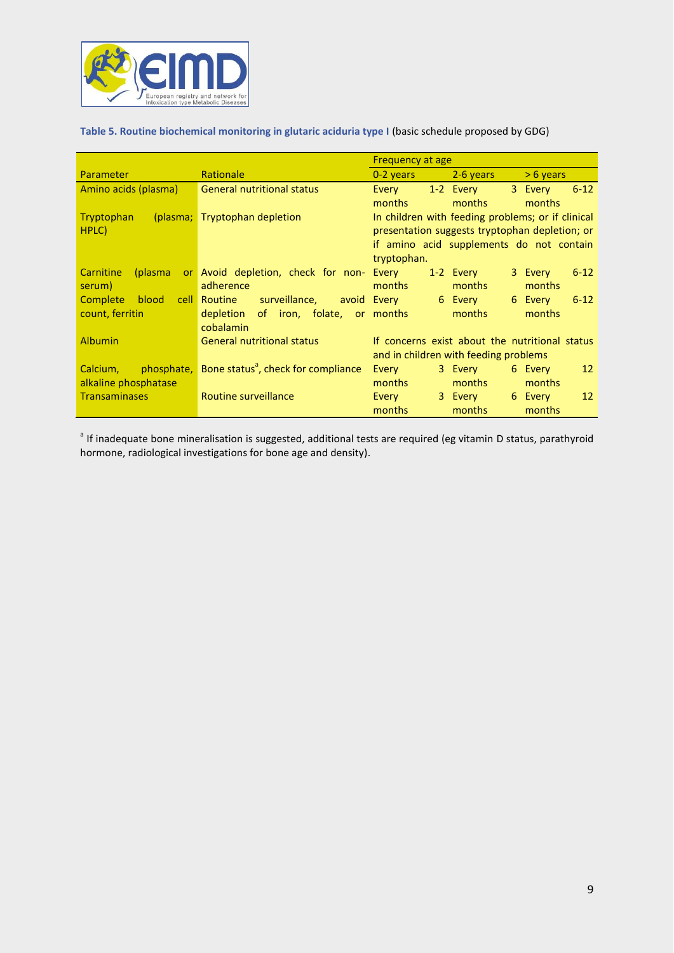

# **Table 5. Routine biochemical monitoring in glutaric aciduria type I** (basic schedule proposed by GDG)

|                          |                                                 | <b>Frequency at age</b>               |                                                |                                                   |  |
|--------------------------|-------------------------------------------------|---------------------------------------|------------------------------------------------|---------------------------------------------------|--|
| Parameter                | Rationale                                       | $0-2$ years $\sim$                    | 2-6 years                                      | $> 6$ years                                       |  |
| Amino acids (plasma)     | <b>General nutritional status</b>               | Every                                 | 1-2 Every 3 Every                              | $6 - 12$                                          |  |
|                          |                                                 | months                                | months                                         | months                                            |  |
| Tryptophan               | (plasma; Tryptophan depletion                   |                                       |                                                | In children with feeding problems; or if clinical |  |
| HPLC)                    |                                                 |                                       | presentation suggests tryptophan depletion; or |                                                   |  |
|                          |                                                 |                                       |                                                | if amino acid supplements do not contain          |  |
|                          |                                                 | tryptophan.                           |                                                |                                                   |  |
| Carnitine<br>(plasma     | or Avoid depletion, check for non- Every        |                                       | 1-2 Every                                      | 3 Every<br>$6 - 12$                               |  |
| serum)                   | adherence                                       | months                                | months                                         | months                                            |  |
| <b>Complete</b><br>blood | <b>cell Routine</b><br>surveillance,            | avoid Every                           | 6 Every                                        | 6 Every<br>$6 - 12$                               |  |
| count, ferritin          | depletion<br>of iron, folate, or months         |                                       | months                                         | months                                            |  |
|                          | cobalamin                                       |                                       |                                                |                                                   |  |
| <b>Albumin</b>           | <b>General nutritional status</b>               |                                       |                                                | If concerns exist about the nutritional status    |  |
|                          |                                                 | and in children with feeding problems |                                                |                                                   |  |
| Calcium, phosphate,      | Bone status <sup>ª</sup> , check for compliance | Every                                 | 3 Every                                        | 6 Every<br>12                                     |  |
| alkaline phosphatase     |                                                 | months                                | months                                         | months                                            |  |
| <b>Transaminases</b>     | Routine surveillance                            | Every                                 | 3 Every                                        | 6 Every<br>12                                     |  |
|                          |                                                 | months                                | months                                         | months                                            |  |

<sup>a</sup> If inadequate bone mineralisation is suggested, additional tests are required (eg vitamin D status, parathyroid hormone, radiological investigations for bone age and density).